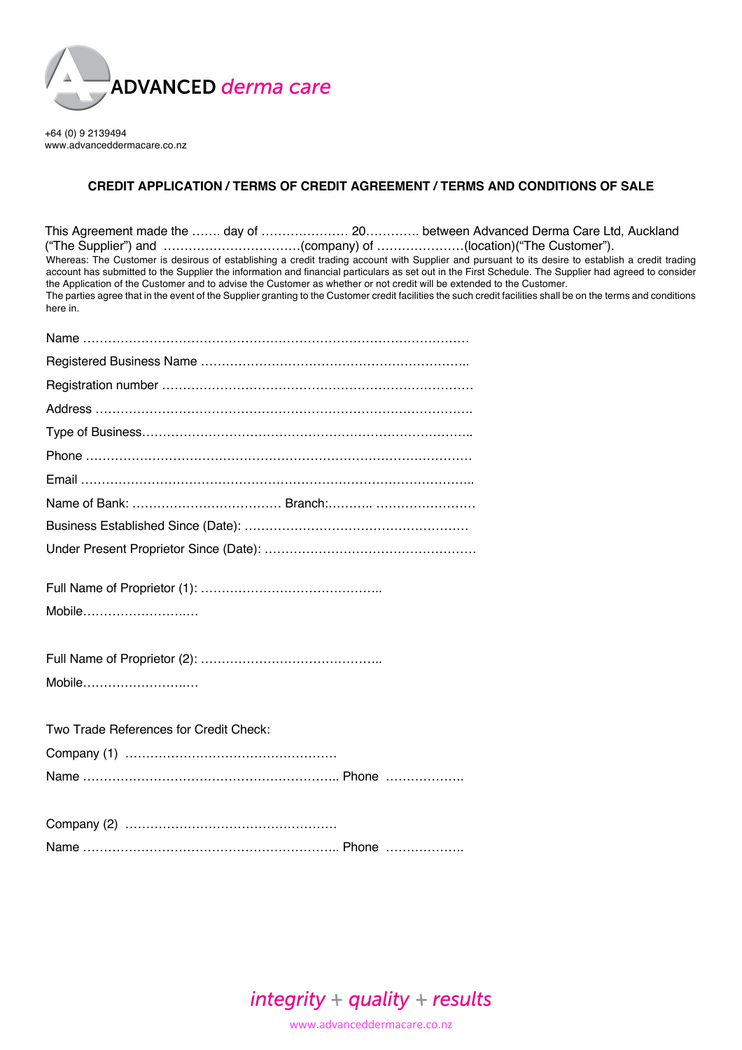

+64 (0) 9 2139494 www.advanceddermacare.co.nz

## **CREDIT APPLICATION / TERMS OF CREDIT AGREEMENT / TERMS AND CONDITIONS OF SALE**

| This Agreement made the ……. day of …………………… 20………… between Advanced Derma Care Ltd, Auckland<br>Whereas: The Customer is desirous of establishing a credit trading account with Supplier and pursuant to its desire to establish a credit trading<br>account has submitted to the Supplier the information and financial particulars as set out in the First Schedule. The Supplier had agreed to consider<br>the Application of the Customer and to advise the Customer as whether or not credit will be extended to the Customer.<br>The parties agree that in the event of the Supplier granting to the Customer credit facilities the such credit facilities shall be on the terms and conditions<br>here in. |
|-------------------------------------------------------------------------------------------------------------------------------------------------------------------------------------------------------------------------------------------------------------------------------------------------------------------------------------------------------------------------------------------------------------------------------------------------------------------------------------------------------------------------------------------------------------------------------------------------------------------------------------------------------------------------------------------------------------------|
|                                                                                                                                                                                                                                                                                                                                                                                                                                                                                                                                                                                                                                                                                                                   |
|                                                                                                                                                                                                                                                                                                                                                                                                                                                                                                                                                                                                                                                                                                                   |
|                                                                                                                                                                                                                                                                                                                                                                                                                                                                                                                                                                                                                                                                                                                   |
|                                                                                                                                                                                                                                                                                                                                                                                                                                                                                                                                                                                                                                                                                                                   |
|                                                                                                                                                                                                                                                                                                                                                                                                                                                                                                                                                                                                                                                                                                                   |
|                                                                                                                                                                                                                                                                                                                                                                                                                                                                                                                                                                                                                                                                                                                   |
|                                                                                                                                                                                                                                                                                                                                                                                                                                                                                                                                                                                                                                                                                                                   |
|                                                                                                                                                                                                                                                                                                                                                                                                                                                                                                                                                                                                                                                                                                                   |
|                                                                                                                                                                                                                                                                                                                                                                                                                                                                                                                                                                                                                                                                                                                   |
|                                                                                                                                                                                                                                                                                                                                                                                                                                                                                                                                                                                                                                                                                                                   |
|                                                                                                                                                                                                                                                                                                                                                                                                                                                                                                                                                                                                                                                                                                                   |
| Mobile                                                                                                                                                                                                                                                                                                                                                                                                                                                                                                                                                                                                                                                                                                            |
|                                                                                                                                                                                                                                                                                                                                                                                                                                                                                                                                                                                                                                                                                                                   |
| Mobile                                                                                                                                                                                                                                                                                                                                                                                                                                                                                                                                                                                                                                                                                                            |
| Two Trade References for Credit Check:                                                                                                                                                                                                                                                                                                                                                                                                                                                                                                                                                                                                                                                                            |
|                                                                                                                                                                                                                                                                                                                                                                                                                                                                                                                                                                                                                                                                                                                   |
|                                                                                                                                                                                                                                                                                                                                                                                                                                                                                                                                                                                                                                                                                                                   |
|                                                                                                                                                                                                                                                                                                                                                                                                                                                                                                                                                                                                                                                                                                                   |
|                                                                                                                                                                                                                                                                                                                                                                                                                                                                                                                                                                                                                                                                                                                   |
|                                                                                                                                                                                                                                                                                                                                                                                                                                                                                                                                                                                                                                                                                                                   |



www.advanceddermacare.co.nz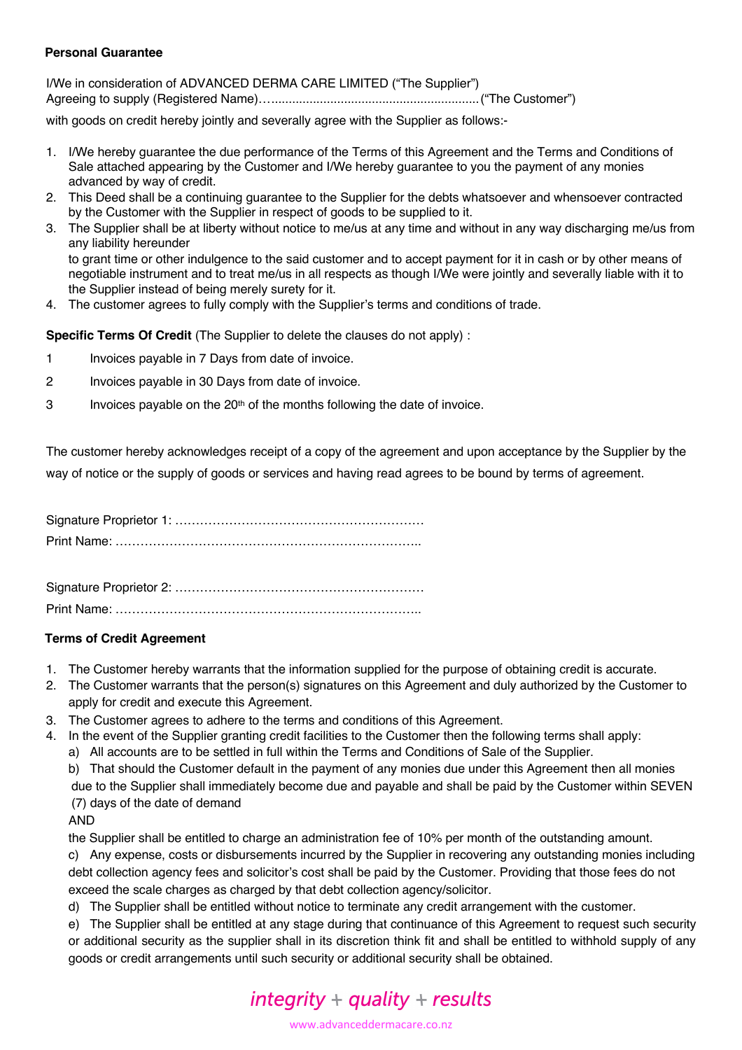### **Personal Guarantee**

I/We in consideration of ADVANCED DERMA CARE LIMITED ("The Supplier") Agreeing to supply (Registered Name)…............................................................("The Customer")

with goods on credit hereby jointly and severally agree with the Supplier as follows:-

- 1. I/We hereby guarantee the due performance of the Terms of this Agreement and the Terms and Conditions of Sale attached appearing by the Customer and I/We hereby guarantee to you the payment of any monies advanced by way of credit.
- 2. This Deed shall be a continuing guarantee to the Supplier for the debts whatsoever and whensoever contracted by the Customer with the Supplier in respect of goods to be supplied to it.
- 3. The Supplier shall be at liberty without notice to me/us at any time and without in any way discharging me/us from any liability hereunder to grant time or other indulgence to the said customer and to accept payment for it in cash or by other means of negotiable instrument and to treat me/us in all respects as though I/We were jointly and severally liable with it to
- the Supplier instead of being merely surety for it.
- 4. The customer agrees to fully comply with the Supplier's terms and conditions of trade.

**Specific Terms Of Credit** (The Supplier to delete the clauses do not apply) :

- 1 Invoices payable in 7 Days from date of invoice.
- 2 Invoices payable in 30 Days from date of invoice.
- $3$  Invoices payable on the 20<sup>th</sup> of the months following the date of invoice.

The customer hereby acknowledges receipt of a copy of the agreement and upon acceptance by the Supplier by the way of notice or the supply of goods or services and having read agrees to be bound by terms of agreement.

Signature Proprietor 1: …………………………………………………… Print Name: ………………………………………………………………..

Signature Proprietor 2: …………………………………………………… Print Name: ………………………………………………………………..

## **Terms of Credit Agreement**

- 1. The Customer hereby warrants that the information supplied for the purpose of obtaining credit is accurate.
- 2. The Customer warrants that the person(s) signatures on this Agreement and duly authorized by the Customer to apply for credit and execute this Agreement.
- 3. The Customer agrees to adhere to the terms and conditions of this Agreement.
- 4. In the event of the Supplier granting credit facilities to the Customer then the following terms shall apply:
	- a) All accounts are to be settled in full within the Terms and Conditions of Sale of the Supplier.
	- b) That should the Customer default in the payment of any monies due under this Agreement then all monies

due to the Supplier shall immediately become due and payable and shall be paid by the Customer within SEVEN (7) days of the date of demand

#### AND

the Supplier shall be entitled to charge an administration fee of 10% per month of the outstanding amount.

c) Any expense, costs or disbursements incurred by the Supplier in recovering any outstanding monies including debt collection agency fees and solicitor's cost shall be paid by the Customer. Providing that those fees do not exceed the scale charges as charged by that debt collection agency/solicitor.

d) The Supplier shall be entitled without notice to terminate any credit arrangement with the customer.

e) The Supplier shall be entitled at any stage during that continuance of this Agreement to request such security or additional security as the supplier shall in its discretion think fit and shall be entitled to withhold supply of any goods or credit arrangements until such security or additional security shall be obtained.

# $integrity + quality + results$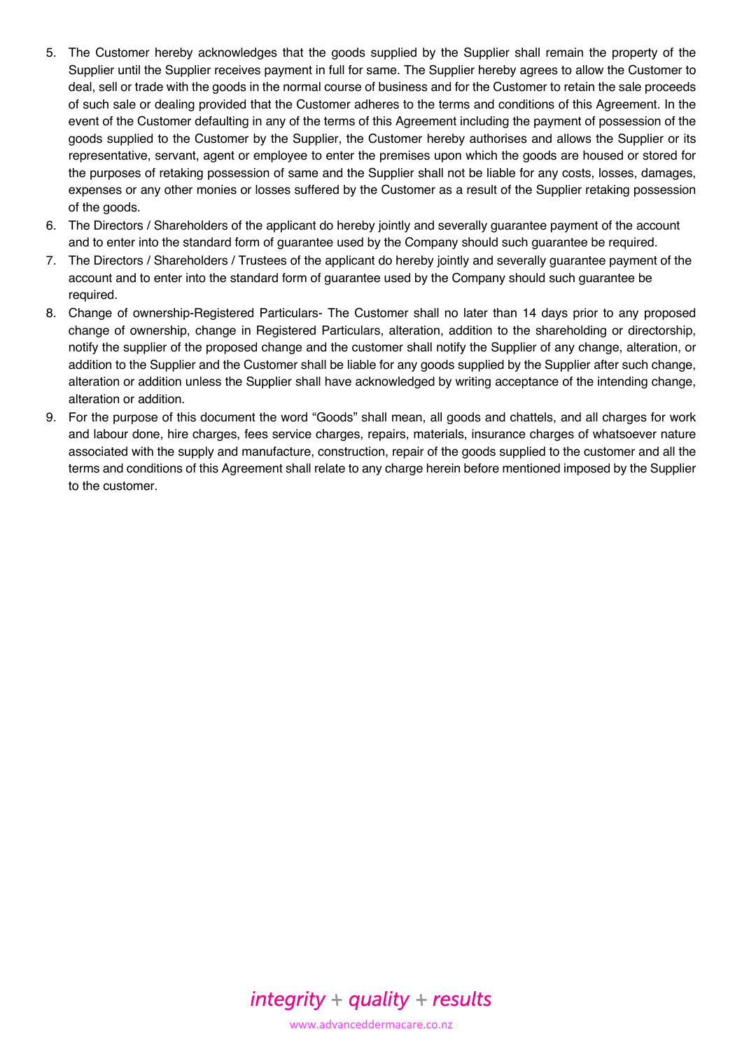- 5. The Customer hereby acknowledges that the goods supplied by the Supplier shall remain the property of the Supplier until the Supplier receives payment in full for same. The Supplier hereby agrees to allow the Customer to deal, sell or trade with the goods in the normal course of business and for the Customer to retain the sale proceeds of such sale or dealing provided that the Customer adheres to the terms and conditions of this Agreement. In the event of the Customer defaulting in any of the terms of this Agreement including the payment of possession of the goods supplied to the Customer by the Supplier, the Customer hereby authorises and allows the Supplier or its representative, servant, agent or employee to enter the premises upon which the goods are housed or stored for the purposes of retaking possession of same and the Supplier shall not be liable for any costs, losses, damages, expenses or any other monies or losses suffered by the Customer as a result of the Supplier retaking possession of the goods.
- 6. The Directors / Shareholders of the applicant do hereby jointly and severally guarantee payment of the account and to enter into the standard form of guarantee used by the Company should such guarantee be required.
- 7. The Directors / Shareholders / Trustees of the applicant do hereby jointly and severally guarantee payment of the account and to enter into the standard form of guarantee used by the Company should such guarantee be required.
- 8. Change of ownership-Registered Particulars- The Customer shall no later than 14 days prior to any proposed change of ownership, change in Registered Particulars, alteration, addition to the shareholding or directorship, notify the supplier of the proposed change and the customer shall notify the Supplier of any change, alteration, or addition to the Supplier and the Customer shall be liable for any goods supplied by the Supplier after such change, alteration or addition unless the Supplier shall have acknowledged by writing acceptance of the intending change, alteration or addition.
- 9. For the purpose of this document the word "Goods" shall mean, all goods and chattels, and all charges for work and labour done, hire charges, fees service charges, repairs, materials, insurance charges of whatsoever nature associated with the supply and manufacture, construction, repair of the goods supplied to the customer and all the terms and conditions of this Agreement shall relate to any charge herein before mentioned imposed by the Supplier to the customer.



www.advanceddermacare.co.nz